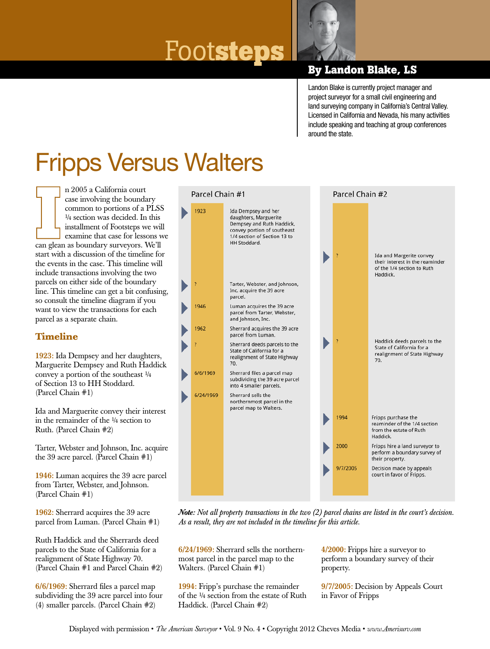# $\frac{1}{2}$  **FOOTS LEDS** By Landon Blake, LS



Landon Blake is currently project manager and project surveyor for a small civil engineering and land surveying company in California's Central Valley. Licensed in California and Nevada, his many activities include speaking and teaching at group conferences around the state.

## Fripps Versus Walters

n 2005 a California court case involving the boundary common to portions of a PLSS ¼ section was decided. In this installment of Footsteps we will examine that case for lessons we can glean as boundary surveyors. We'll start with a discussion of the timeline for the events in the case. This timeline will include transactions involving the two parcels on either side of the boundary line. This timeline can get a bit confusing, so consult the timeline diagram if you want to view the transactions for each parcel as a separate chain.

### **Timeline**

1923: Ida Dempsey and her daughters, Marguerite Dempsey and Ruth Haddick convey a portion of the southeast  $\frac{1}{4}$ of Section 13 to HH Stoddard. (Parcel Chain #1)

Ida and Marguerite convey their interest in the remainder of the ¼ section to Ruth. (Parcel Chain #2)

Tarter, Webster and Johnson, Inc. acquire the 39 acre parcel. (Parcel Chain #1)

1946: Luman acquires the 39 acre parcel from Tarter, Webster, and Johnson. (Parcel Chain #1)

1962: Sherrard acquires the 39 acre parcel from Luman. (Parcel Chain #1)

Ruth Haddick and the Sherrards deed parcels to the State of California for a realignment of State Highway 70. (Parcel Chain #1 and Parcel Chain #2)

6/6/1969: Sherrard files a parcel map subdividing the 39 acre parcel into four (4) smaller parcels. (Parcel Chain #2)



*Note: Not all property transactions in the two (2) parcel chains are listed in the court's decision. As a result, they are not included in the timeline for this article.*

6/24/1969: Sherrard sells the northernmost parcel in the parcel map to the Walters. (Parcel Chain #1)

1994: Fripp's purchase the remainder of the ¼ section from the estate of Ruth Haddick. (Parcel Chain #2)

4/2000: Fripps hire a surveyor to perform a boundary survey of their property.

9/7/2005: Decision by Appeals Court in Favor of Fripps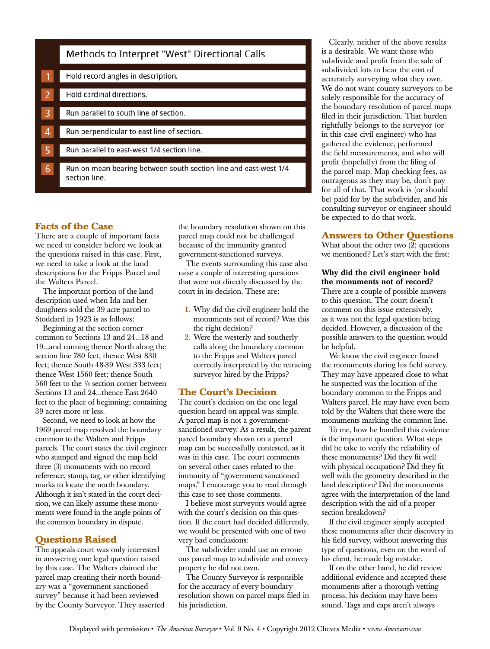|                | Methods to Interpret "West" Directional Calls                                     |
|----------------|-----------------------------------------------------------------------------------|
|                |                                                                                   |
|                | Hold record angles in description.                                                |
|                |                                                                                   |
| $\overline{2}$ | Hold cardinal directions.                                                         |
|                |                                                                                   |
| 3              | Run parallel to south line of section.                                            |
|                |                                                                                   |
| 4              | Run perpendicular to east line of section.                                        |
|                |                                                                                   |
| 5              | Run parallel to east-west 1/4 section line.                                       |
|                |                                                                                   |
| 6              | Run on mean bearing between south section line and east-west 1/4<br>section line. |

#### **Facts of the Case**

There are a couple of important facts we need to consider before we look at the questions raised in this case. First, we need to take a look at the land descriptions for the Fripps Parcel and the Walters Parcel.

The important portion of the land description used when Ida and her daughters sold the 39 acre parcel to Stoddard in 1923 is as follows:

Beginning at the section corner common to Sections 13 and 24...18 and 19...and running thence North along the section line 780 feet; thence West 830 feet; thence South 48-39 West 333 feet; thence West 1560 feet; thence South 560 feet to the ¼ section corner between Sections 13 and 24...thence East 2640 feet to the place of beginning; containing 39 acres more or less.

Second, we need to look at how the 1969 parcel map resolved the boundary common to the Walters and Fripps parcels. The court states the civil engineer who stamped and signed the map held three (3) monuments with no record reference, stamp, tag, or other identifying marks to locate the north boundary. Although it isn't stated in the court decision, we can likely assume these monuments were found in the angle points of the common boundary in dispute.

#### **Questions Raised**

The appeals court was only interested in answering one legal question raised by this case. The Walters claimed the parcel map creating their north boundary was a "government sanctioned survey" because it had been reviewed by the County Surveyor. They asserted the boundary resolution shown on this parcel map could not be challenged because of the immunity granted government-sanctioned surveys.

The events surrounding this case also raise a couple of interesting questions that were not directly discussed by the court in its decision. These are:

- 1. Why did the civil engineer hold the monuments not of record? Was this the right decision?
- 2. Were the westerly and southerly calls along the boundary common to the Fripps and Walters parcel correctly interpreted by the retracing surveyor hired by the Fripps?

#### **The Court's Decision**

The court's decision on the one legal question heard on appeal was simple. A parcel map is not a governmentsanctioned survey. As a result, the parent parcel boundary shown on a parcel map can be successfully contested, as it was in this case. The court comments on several other cases related to the immunity of "government-sanctioned maps." I encourage you to read through this case to see those comments.

I believe most surveyors would agree with the court's decision on this question. If the court had decided differently, we would be presented with one of two very bad conclusions:

The subdivider could use an erroneous parcel map to subdivide and convey property he did not own.

The County Surveyor is responsible for the accuracy of every boundary resolution shown on parcel maps filed in his jurisdiction.

Clearly, neither of the above results is a desirable. We want those who subdivide and profit from the sale of subdivided lots to bear the cost of accurately surveying what they own. We do not want county surveyors to be solely responsible for the accuracy of the boundary resolution of parcel maps filed in their jurisdiction. That burden rightfully belongs to the surveyor (or in this case civil engineer) who has gathered the evidence, performed the field measurements, and who will profit (hopefully) from the filing of the parcel map. Map checking fees, as outrageous as they may be, don't pay for all of that. That work is (or should be) paid for by the subdivider, and his consulting surveyor or engineer should be expected to do that work.

#### **Answers to Other Questions**

What about the other two  $(2)$  questions we mentioned? Let's start with the first:

#### Why did the civil engineer hold the monuments not of record? There are a couple of possible answers

to this question. The court doesn't comment on this issue extensively, as it was not the legal question being decided. However, a discussion of the possible answers to the question would be helpful.

We know the civil engineer found the monuments during his field survey. They may have appeared close to what he suspected was the location of the boundary common to the Fripps and Walters parcel. He may have even been told by the Walters that these were the monuments marking the common line.

To me, how he handled this evidence is the important question. What steps did he take to verify the reliability of these monuments? Did they fit well with physical occupation? Did they fit well with the geometry described in the land description? Did the monuments agree with the interpretation of the land description with the aid of a proper section breakdown?

If the civil engineer simply accepted these monuments after their discovery in his field survey, without answering this type of questions, even on the word of his client, he made big mistake.

If on the other hand, he did review additional evidence and accepted these monuments after a thorough vetting process, his decision may have been sound. Tags and caps aren't always